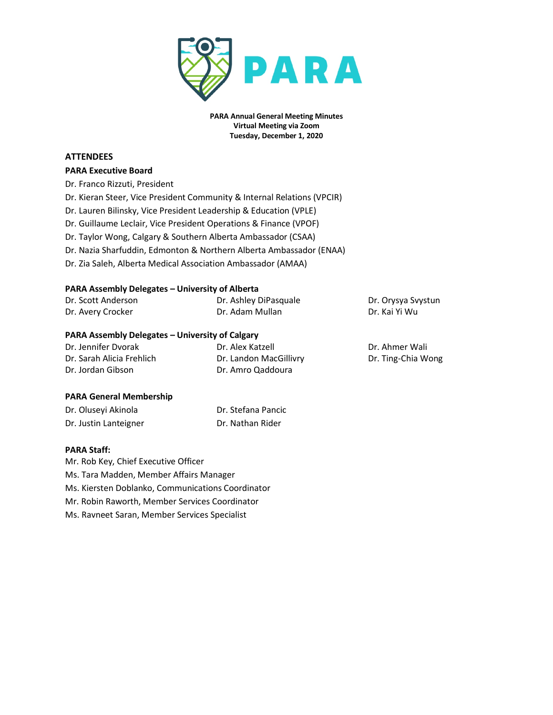

**PARA Annual General Meeting Minutes Virtual Meeting via Zoom Tuesday, December 1, 2020**

### **ATTENDEES**

#### **PARA Executive Board**

- Dr. Franco Rizzuti, President Dr. Kieran Steer, Vice President Community & Internal Relations (VPCIR) Dr. Lauren Bilinsky, Vice President Leadership & Education (VPLE) Dr. Guillaume Leclair, Vice President Operations & Finance (VPOF)
- Dr. Taylor Wong, Calgary & Southern Alberta Ambassador (CSAA)
- Dr. Nazia Sharfuddin, Edmonton & Northern Alberta Ambassador (ENAA)
- Dr. Zia Saleh, Alberta Medical Association Ambassador (AMAA)

## **PARA Assembly Delegates – University of Alberta**

| Dr. Scott Anderson                                     | Dr. Ashley DiPasquale | Dr. Orysya Syystun |
|--------------------------------------------------------|-----------------------|--------------------|
| Dr. Avery Crocker                                      | Dr. Adam Mullan       | Dr. Kai Yi Wu      |
| <b>PARA Assembly Delegates – University of Calgary</b> |                       |                    |

### **PARA Assembly Delegates – University of Calgary**

| Dr. Jennifer Dvorak       | Dr. Alex Katzell       | Dr. Ahmer Wali     |
|---------------------------|------------------------|--------------------|
| Dr. Sarah Alicia Frehlich | Dr. Landon MacGillivry | Dr. Ting-Chia Wong |
| Dr. Jordan Gibson         | Dr. Amro Qaddoura      |                    |

#### **PARA General Membership**

| Dr. Oluseyi Akinola   | Dr. Stefana Pancic |
|-----------------------|--------------------|
| Dr. Justin Lanteigner | Dr. Nathan Rider   |

#### **PARA Staff:**

Mr. Rob Key, Chief Executive Officer

Ms. Tara Madden, Member Affairs Manager

Ms. Kiersten Doblanko, Communications Coordinator

Mr. Robin Raworth, Member Services Coordinator

Ms. Ravneet Saran, Member Services Specialist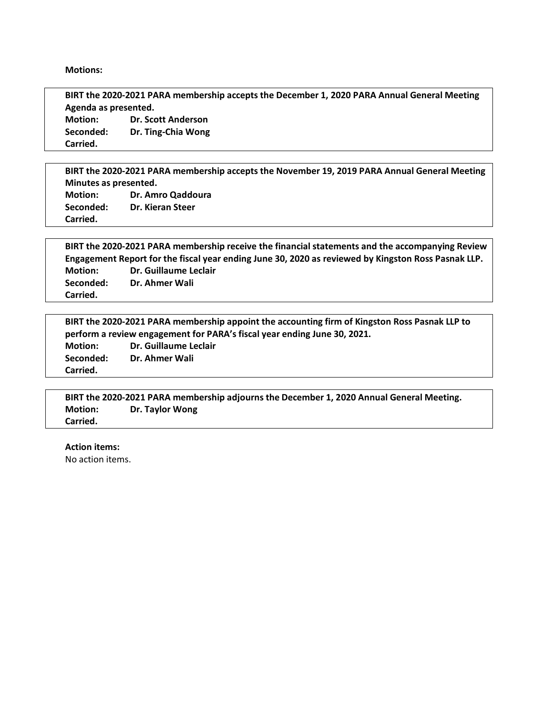**Motions:**

**BIRT the 2020-2021 PARA membership accepts the December 1, 2020 PARA Annual General Meeting Agenda as presented. Motion: Dr. Scott Anderson Seconded: Dr. Ting-Chia Wong Carried.**

**BIRT the 2020-2021 PARA membership accepts the November 19, 2019 PARA Annual General Meeting Minutes as presented. Motion: Dr. Amro Qaddoura**

**Seconded: Dr. Kieran Steer Carried.**

**BIRT the 2020-2021 PARA membership receive the financial statements and the accompanying Review Engagement Report for the fiscal year ending June 30, 2020 as reviewed by Kingston Ross Pasnak LLP. Motion: Dr. Guillaume Leclair Seconded: Dr. Ahmer Wali Carried.**

| BIRT the 2020-2021 PARA membership appoint the accounting firm of Kingston Ross Pasnak LLP to |                       |
|-----------------------------------------------------------------------------------------------|-----------------------|
| perform a review engagement for PARA's fiscal year ending June 30, 2021.                      |                       |
| <b>Motion:</b>                                                                                | Dr. Guillaume Leclair |
| Seconded:                                                                                     | Dr. Ahmer Wali        |
| Carried.                                                                                      |                       |

|                 | BIRT the 2020-2021 PARA membership adjourns the December 1, 2020 Annual General Meeting. |
|-----------------|------------------------------------------------------------------------------------------|
| <b>Motion:</b>  | <b>Dr. Taylor Wong</b>                                                                   |
| <b>Carried.</b> |                                                                                          |

**Action items:** 

No action items.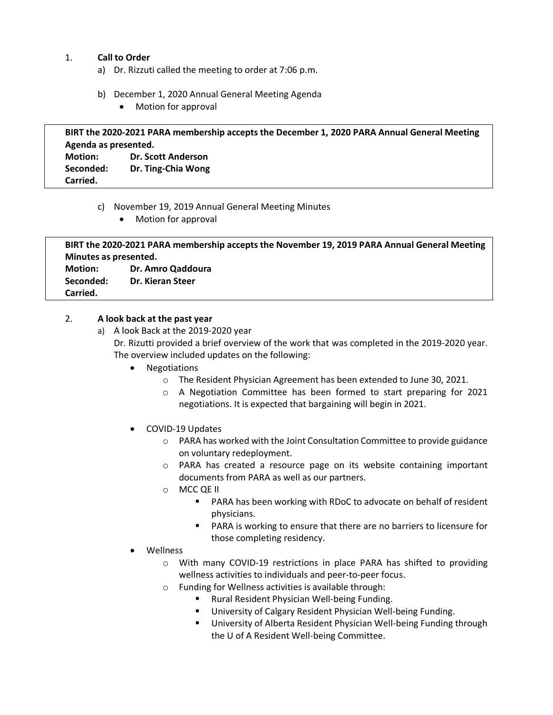# 1. **Call to Order**

- a) Dr. Rizzuti called the meeting to order at 7:06 p.m.
- b) December 1, 2020 Annual General Meeting Agenda
	- Motion for approval

|                      | BIRT the 2020-2021 PARA membership accepts the December 1, 2020 PARA Annual General Meeting |
|----------------------|---------------------------------------------------------------------------------------------|
| Agenda as presented. |                                                                                             |
| <b>Motion:</b>       | <b>Dr. Scott Anderson</b>                                                                   |
| Seconded:            | Dr. Ting-Chia Wong                                                                          |
| Carried.             |                                                                                             |

- c) November 19, 2019 Annual General Meeting Minutes
	- Motion for approval

| BIRT the 2020-2021 PARA membership accepts the November 19, 2019 PARA Annual General Meeting |                         |  |
|----------------------------------------------------------------------------------------------|-------------------------|--|
| Minutes as presented.                                                                        |                         |  |
| <b>Motion:</b>                                                                               | Dr. Amro Qaddoura       |  |
| Seconded:                                                                                    | <b>Dr. Kieran Steer</b> |  |
| Carried.                                                                                     |                         |  |

# 2. **A look back at the past year**

- a) A look Back at the 2019-2020 year Dr. Rizutti provided a brief overview of the work that was completed in the 2019-2020 year. The overview included updates on the following:
	- Negotiations
		- o The Resident Physician Agreement has been extended to June 30, 2021.
		- o A Negotiation Committee has been formed to start preparing for 2021 negotiations. It is expected that bargaining will begin in 2021.
	- COVID-19 Updates
		- o PARA has worked with the Joint Consultation Committee to provide guidance on voluntary redeployment.
		- o PARA has created a resource page on its website containing important documents from PARA as well as our partners.
		- o MCC QE II
			- PARA has been working with RDoC to advocate on behalf of resident physicians.
			- PARA is working to ensure that there are no barriers to licensure for those completing residency.
	- **Wellness** 
		- o With many COVID-19 restrictions in place PARA has shifted to providing wellness activities to individuals and peer-to-peer focus.
		- o Funding for Wellness activities is available through:
			- § Rural Resident Physician Well-being Funding.
			- University of Calgary Resident Physician Well-being Funding.
			- University of Alberta Resident Physician Well-being Funding through the U of A Resident Well-being Committee.